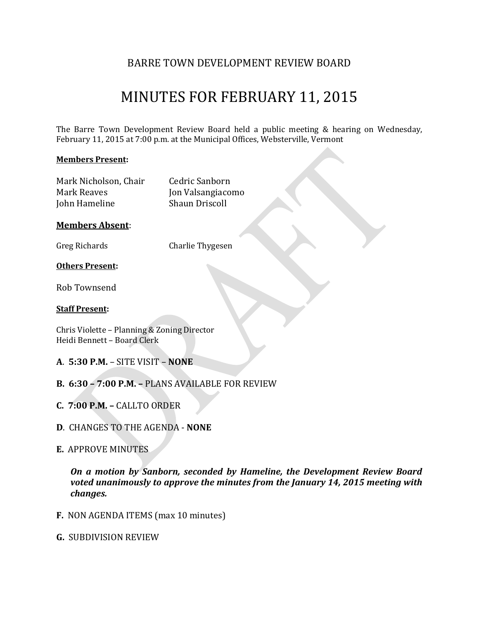# BARRE TOWN DEVELOPMENT REVIEW BOARD

# MINUTES FOR FEBRUARY 11, 2015

The Barre Town Development Review Board held a public meeting & hearing on Wednesday, February 11, 2015 at 7:00 p.m. at the Municipal Offices, Websterville, Vermont

#### **Members Present:**

| Mark Nicholson, Chair | Cedric Sanborn        |
|-----------------------|-----------------------|
| Mark Reaves           | Jon Valsangiacomo     |
| John Hameline         | <b>Shaun Driscoll</b> |

#### **Members Absent**:

Greg Richards Charlie Thygesen

#### **Others Present:**

Rob Townsend

#### **Staff Present:**

Chris Violette – Planning & Zoning Director Heidi Bennett – Board Clerk

- **A**. **5:30 P.M.** SITE VISIT **NONE**
- **B. 6:30 – 7:00 P.M. –** PLANS AVAILABLE FOR REVIEW
- **C. 7:00 P.M. –** CALLTO ORDER
- **D**. CHANGES TO THE AGENDA **NONE**
- **E.** APPROVE MINUTES

*On a motion by Sanborn, seconded by Hameline, the Development Review Board voted unanimously to approve the minutes from the January 14, 2015 meeting with changes.*

- **F.** NON AGENDA ITEMS (max 10 minutes)
- **G.** SUBDIVISION REVIEW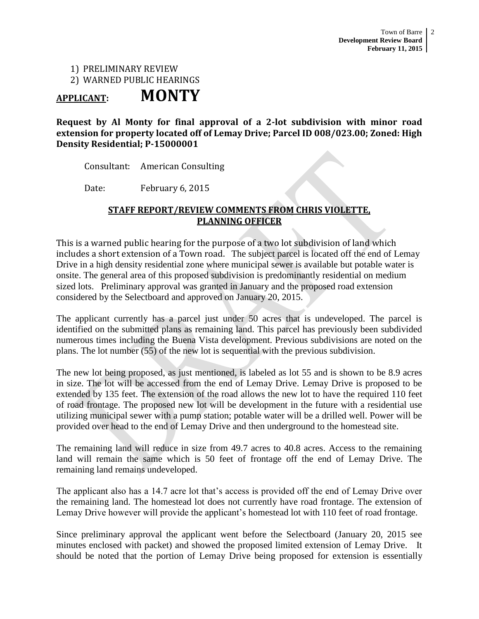# 1) PRELIMINARY REVIEW 2) WARNED PUBLIC HEARINGS

# **APPLICANT: MONTY**

#### **Request by Al Monty for final approval of a 2-lot subdivision with minor road extension for property located off of Lemay Drive; Parcel ID 008/023.00; Zoned: High Density Residential; P-15000001**

Consultant: American Consulting

Date: February 6, 2015

#### **STAFF REPORT/REVIEW COMMENTS FROM CHRIS VIOLETTE, PLANNING OFFICER**

This is a warned public hearing for the purpose of a two lot subdivision of land which includes a short extension of a Town road. The subject parcel is located off the end of Lemay Drive in a high density residential zone where municipal sewer is available but potable water is onsite. The general area of this proposed subdivision is predominantly residential on medium sized lots. Preliminary approval was granted in January and the proposed road extension considered by the Selectboard and approved on January 20, 2015.

The applicant currently has a parcel just under 50 acres that is undeveloped. The parcel is identified on the submitted plans as remaining land. This parcel has previously been subdivided numerous times including the Buena Vista development. Previous subdivisions are noted on the plans. The lot number (55) of the new lot is sequential with the previous subdivision.

The new lot being proposed, as just mentioned, is labeled as lot 55 and is shown to be 8.9 acres in size. The lot will be accessed from the end of Lemay Drive. Lemay Drive is proposed to be extended by 135 feet. The extension of the road allows the new lot to have the required 110 feet of road frontage. The proposed new lot will be development in the future with a residential use utilizing municipal sewer with a pump station; potable water will be a drilled well. Power will be provided over head to the end of Lemay Drive and then underground to the homestead site.

The remaining land will reduce in size from 49.7 acres to 40.8 acres. Access to the remaining land will remain the same which is 50 feet of frontage off the end of Lemay Drive. The remaining land remains undeveloped.

The applicant also has a 14.7 acre lot that's access is provided off the end of Lemay Drive over the remaining land. The homestead lot does not currently have road frontage. The extension of Lemay Drive however will provide the applicant's homestead lot with 110 feet of road frontage.

Since preliminary approval the applicant went before the Selectboard (January 20, 2015 see minutes enclosed with packet) and showed the proposed limited extension of Lemay Drive. It should be noted that the portion of Lemay Drive being proposed for extension is essentially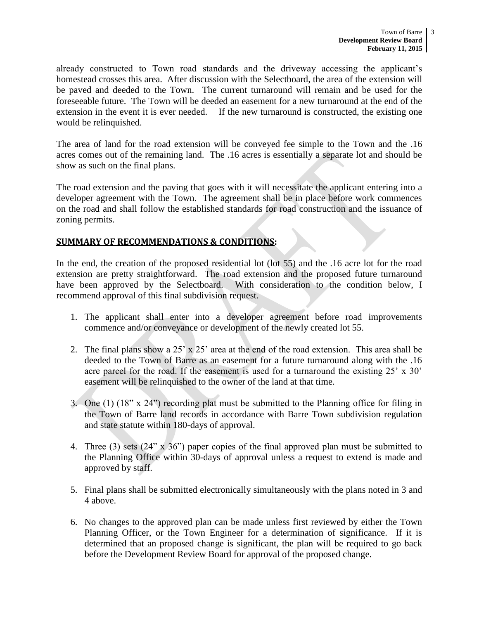already constructed to Town road standards and the driveway accessing the applicant's homestead crosses this area. After discussion with the Selectboard, the area of the extension will be paved and deeded to the Town. The current turnaround will remain and be used for the foreseeable future. The Town will be deeded an easement for a new turnaround at the end of the extension in the event it is ever needed. If the new turnaround is constructed, the existing one would be relinquished.

The area of land for the road extension will be conveyed fee simple to the Town and the .16 acres comes out of the remaining land. The .16 acres is essentially a separate lot and should be show as such on the final plans.

The road extension and the paving that goes with it will necessitate the applicant entering into a developer agreement with the Town. The agreement shall be in place before work commences on the road and shall follow the established standards for road construction and the issuance of zoning permits.

#### **SUMMARY OF RECOMMENDATIONS & CONDITIONS:**

In the end, the creation of the proposed residential lot (lot 55) and the .16 acre lot for the road extension are pretty straightforward. The road extension and the proposed future turnaround have been approved by the Selectboard. With consideration to the condition below, I recommend approval of this final subdivision request.

- 1. The applicant shall enter into a developer agreement before road improvements commence and/or conveyance or development of the newly created lot 55.
- 2. The final plans show a 25' x 25' area at the end of the road extension. This area shall be deeded to the Town of Barre as an easement for a future turnaround along with the .16 acre parcel for the road. If the easement is used for a turnaround the existing 25' x 30' easement will be relinquished to the owner of the land at that time.
- 3. One (1) (18" x 24") recording plat must be submitted to the Planning office for filing in the Town of Barre land records in accordance with Barre Town subdivision regulation and state statute within 180-days of approval.
- 4. Three (3) sets (24" x 36") paper copies of the final approved plan must be submitted to the Planning Office within 30-days of approval unless a request to extend is made and approved by staff.
- 5. Final plans shall be submitted electronically simultaneously with the plans noted in 3 and 4 above.
- 6. No changes to the approved plan can be made unless first reviewed by either the Town Planning Officer, or the Town Engineer for a determination of significance. If it is determined that an proposed change is significant, the plan will be required to go back before the Development Review Board for approval of the proposed change.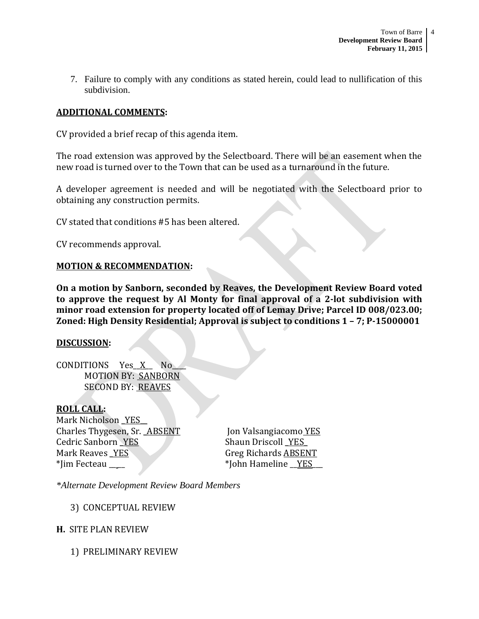7. Failure to comply with any conditions as stated herein, could lead to nullification of this subdivision.

### **ADDITIONAL COMMENTS:**

CV provided a brief recap of this agenda item.

The road extension was approved by the Selectboard. There will be an easement when the new road is turned over to the Town that can be used as a turnaround in the future.

A developer agreement is needed and will be negotiated with the Selectboard prior to obtaining any construction permits.

CV stated that conditions #5 has been altered.

CV recommends approval.

#### **MOTION & RECOMMENDATION:**

**On a motion by Sanborn, seconded by Reaves, the Development Review Board voted to approve the request by Al Monty for final approval of a 2-lot subdivision with minor road extension for property located off of Lemay Drive; Parcel ID 008/023.00; Zoned: High Density Residential; Approval is subject to conditions 1 – 7; P-15000001**

#### **DISCUSSION:**

CONDITIONS Yes X No MOTION BY: SANBORN SECOND BY: REAVES

#### **ROLL CALL:**

Mark Nicholson YES Charles Thygesen, Sr. ABSENT Jon Valsangiacomo YES Cedric Sanborn YES Shaun Driscoll YES Mark Reaves YES Greg Richards ABSENT \*Jim Fecteau \_\_ \_\_ \*John Hameline \_\_YES\_\_\_

*\*Alternate Development Review Board Members*

3) CONCEPTUAL REVIEW

#### **H.** SITE PLAN REVIEW

1) PRELIMINARY REVIEW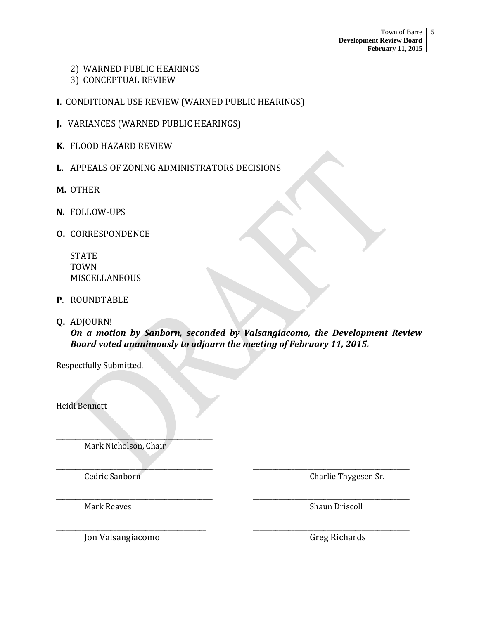## 2) WARNED PUBLIC HEARINGS

- 3) CONCEPTUAL REVIEW
- **I.** CONDITIONAL USE REVIEW (WARNED PUBLIC HEARINGS)
- **J.** VARIANCES (WARNED PUBLIC HEARINGS)
- **K.** FLOOD HAZARD REVIEW
- **L.** APPEALS OF ZONING ADMINISTRATORS DECISIONS
- **M.** OTHER
- **N.** FOLLOW-UPS
- **O.** CORRESPONDENCE

**STATE** TOWN MISCELLANEOUS

- **P**. ROUNDTABLE
- **Q.** ADJOURN!

*On a motion by Sanborn, seconded by Valsangiacomo, the Development Review Board voted unanimously to adjourn the meeting of February 11, 2015.*

\_\_\_\_\_\_\_\_\_\_\_\_\_\_\_\_\_\_\_\_\_\_\_\_\_\_\_\_\_\_\_\_\_\_\_\_\_\_\_\_\_\_\_\_\_\_\_\_\_ \_\_\_\_\_\_\_\_\_\_\_\_\_\_\_\_\_\_\_\_\_\_\_\_\_\_\_\_\_\_\_\_\_\_\_\_\_\_\_\_\_\_\_\_\_\_\_\_\_

\_\_\_\_\_\_\_\_\_\_\_\_\_\_\_\_\_\_\_\_\_\_\_\_\_\_\_\_\_\_\_\_\_\_\_\_\_\_\_\_\_\_\_\_\_\_\_\_\_ \_\_\_\_\_\_\_\_\_\_\_\_\_\_\_\_\_\_\_\_\_\_\_\_\_\_\_\_\_\_\_\_\_\_\_\_\_\_\_\_\_\_\_\_\_\_\_\_\_

\_\_\_\_\_\_\_\_\_\_\_\_\_\_\_\_\_\_\_\_\_\_\_\_\_\_\_\_\_\_\_\_\_\_\_\_\_\_\_\_\_\_\_\_\_\_\_ \_\_\_\_\_\_\_\_\_\_\_\_\_\_\_\_\_\_\_\_\_\_\_\_\_\_\_\_\_\_\_\_\_\_\_\_\_\_\_\_\_\_\_\_\_\_\_\_\_

Respectfully Submitted,

Heidi Bennett

Mark Nicholson, Chair

\_\_\_\_\_\_\_\_\_\_\_\_\_\_\_\_\_\_\_\_\_\_\_\_\_\_\_\_\_\_\_\_\_\_\_\_\_\_\_\_\_\_\_\_\_\_\_\_\_

Cedric Sanborn Charlie Thygesen Sr.

Mark Reaves **Shaun Driscoll** 

Jon Valsangiacomo **Greg Richards**